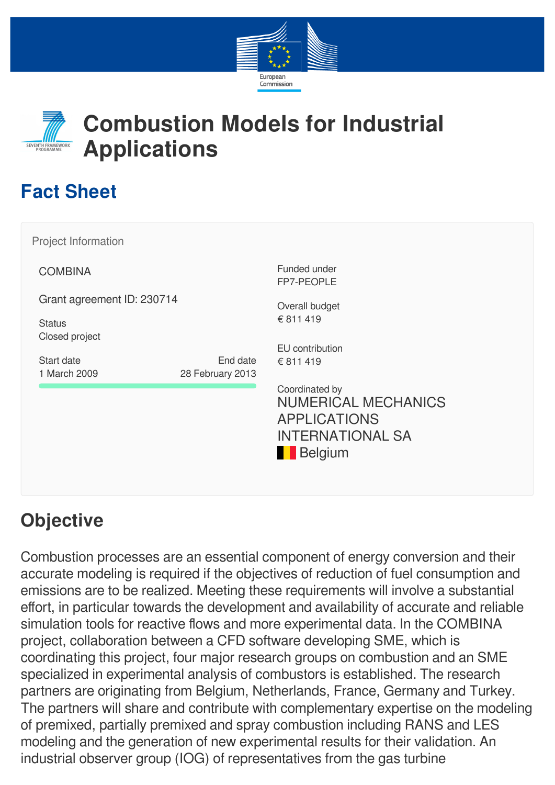



# **Combustion Models for Industrial Applications**

# **Fact Sheet**

| Project Information             |                  |                                                                                                                  |
|---------------------------------|------------------|------------------------------------------------------------------------------------------------------------------|
| <b>COMBINA</b>                  |                  | Funded under<br>FP7-PEOPLE                                                                                       |
| Grant agreement ID: 230714      |                  | Overall budget                                                                                                   |
| <b>Status</b><br>Closed project |                  | € 811 419                                                                                                        |
| Start date                      | End date         | EU contribution<br>€ 811 419                                                                                     |
| 1 March 2009                    | 28 February 2013 |                                                                                                                  |
|                                 |                  | Coordinated by<br><b>NUMERICAL MECHANICS</b><br><b>APPLICATIONS</b><br><b>INTERNATIONAL SA</b><br><b>Belgium</b> |

# **Objective**

Combustion processes are an essential component of energy conversion and their accurate modeling is required if the objectives of reduction of fuel consumption and emissions are to be realized. Meeting these requirements will involve a substantial effort, in particular towards the development and availability of accurate and reliable simulation tools for reactive flows and more experimental data. In the COMBINA project, collaboration between a CFD software developing SME, which is coordinating this project, four major research groups on combustion and an SME specialized in experimental analysis of combustors is established. The research partners are originating from Belgium, Netherlands, France, Germany and Turkey. The partners will share and contribute with complementary expertise on the modeling of premixed, partially premixed and spray combustion including RANS and LES modeling and the generation of new experimental results for their validation. An industrial observer group (IOG) of representatives from the gas turbine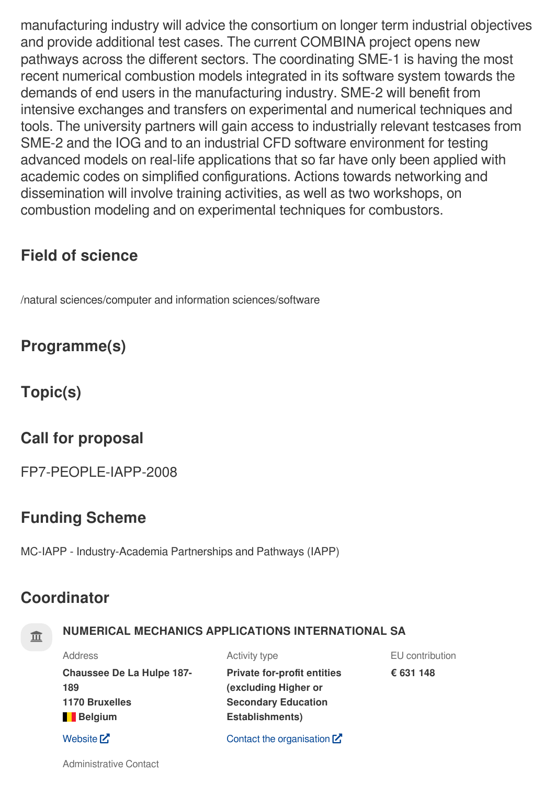manufacturing industry will advice the consortium on longer term industrial objectives and provide additional test cases. The current COMBINA project opens new pathways across the different sectors. The coordinating SME-1 is having the most recent numerical combustion models integrated in its software system towards the demands of end users in the manufacturing industry. SME-2 will benefit from intensive exchanges and transfers on experimental and numerical techniques and tools. The university partners will gain access to industrially relevant testcases from SME-2 and the IOG and to an industrial CFD software environment for testing advanced models on real-life applications that so far have only been applied with academic codes on simplified configurations. Actions towards networking and dissemination will involve training activities, as well as two workshops, on combustion modeling and on experimental techniques for combustors.

## **Field of science**

/natural sciences/computer and information sciences/software

## **Programme(s)**

**Topic(s)**

## **Call for proposal**

FP7-PEOPLE-IAPP-2008

## **Funding Scheme**

MC-IAPP - Industry-Academia Partnerships and Pathways (IAPP)

## **Coordinator**

## **NUMERICAL MECHANICS APPLICATIONS INTERNATIONAL SA**

| <b>Address</b>                          | Activity type                                              | EU contribution |
|-----------------------------------------|------------------------------------------------------------|-----------------|
| <b>Chaussee De La Hulpe 187-</b><br>189 | <b>Private for-profit entities</b><br>(excluding Higher or | € 631 148       |
| <b>1170 Bruxelles</b>                   | <b>Secondary Education</b>                                 |                 |
| Belgium                                 | <b>Establishments)</b>                                     |                 |
| Website $Z$                             | Contact the organisation $\mathbb Z$                       |                 |

Administrative Contact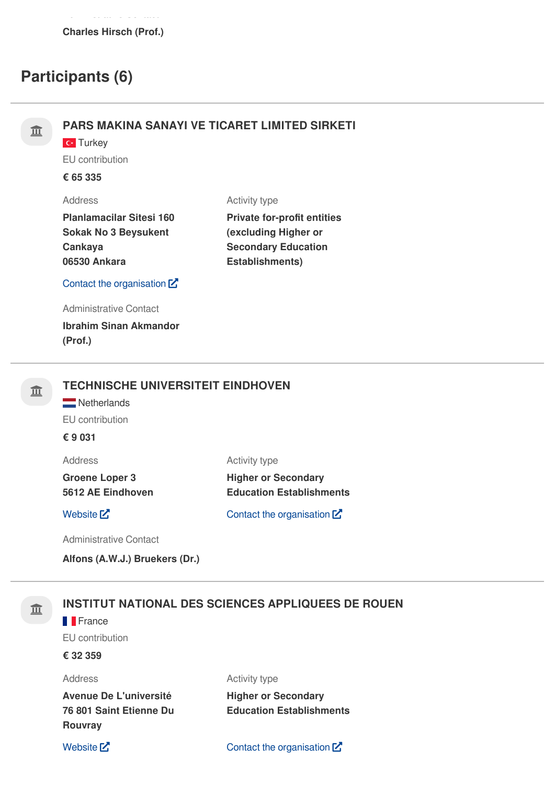## **Participants (6)**

## **PARS MAKINA SANAYI VE TICARET LIMITED SIRKETI**

**C**<sup>t</sup> Turkey

EU contribution

**€ 65 335**

### Address

Activity type

| <b>Planlamacilar Sitesi 160</b> |
|---------------------------------|
| <b>Sokak No 3 Beysukent</b>     |
| Cankava                         |
| 06530 Ankara                    |

**Private for-profit entities (excluding Higher or Secondary Education Establishments)**

### Contact the [organisation](https://ec.europa.eu/info/funding-tenders/opportunities/portal/screen/contact-form/PROJECT/999552215/230714)  $Z$

Administrative Contact

**Ibrahim Sinan Akmandor (Prof.)**

## **TECHNISCHE UNIVERSITEIT EINDHOVEN**

Netherlands EU contribution

**€ 9 031**

Address

**Groene Loper 3 5612 AE Eindhoven** Activity type

**Higher or Secondary Education Establishments**

[Website](http://www.tue.nl/en)  $\mathbf{Z}$  Contact the [organisation](https://ec.europa.eu/info/funding-tenders/opportunities/portal/screen/contact-form/PROJECT/999977269/230714)  $\mathbf{Z}$ 

Administrative Contact

**Alfons (A.W.J.) Bruekers (Dr.)**

## **INSTITUT NATIONAL DES SCIENCES APPLIQUEES DE ROUEN**

#### **F**France

EU contribution

### **€ 32 359**

#### Address

Activity type

**Avenue De L'université 76 801 Saint Etienne Du Rouvray**

**Higher or Secondary Education Establishments**

[Website](http://www.insa-rouen.fr/)  $\mathbb{Z}$  Contact the [organisation](https://ec.europa.eu/info/funding-tenders/opportunities/portal/screen/contact-form/PROJECT/999465788/230714)  $\mathbb{Z}$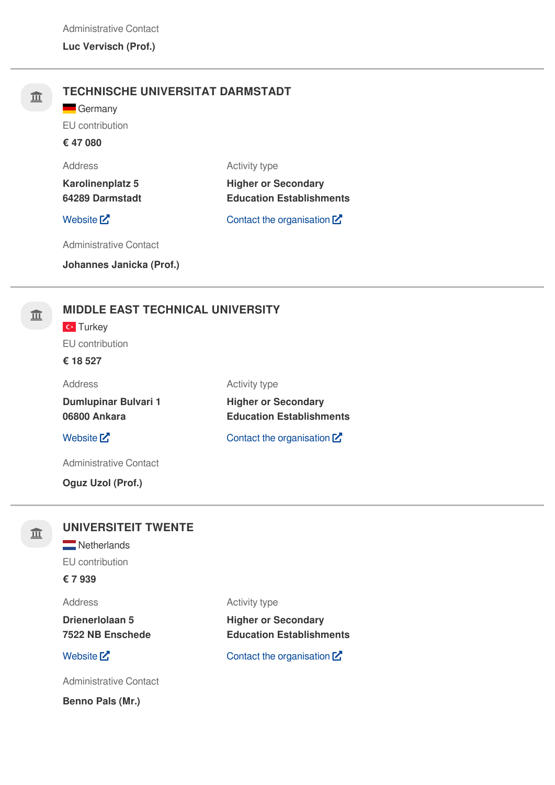| 皿 | <b>TECHNISCHE UNIVERSITAT DARMSTADT</b><br>Germany<br>EU contribution<br>€ 47 080 |                                                               |  |  |
|---|-----------------------------------------------------------------------------------|---------------------------------------------------------------|--|--|
|   | Address                                                                           | <b>Activity type</b>                                          |  |  |
|   | <b>Karolinenplatz 5</b><br>64289 Darmstadt                                        | <b>Higher or Secondary</b><br><b>Education Establishments</b> |  |  |
|   | Website $Z$                                                                       | Contact the organisation $\mathbb Z$                          |  |  |
|   | <b>Administrative Contact</b>                                                     |                                                               |  |  |
|   | Johannes Janicka (Prof.)                                                          |                                                               |  |  |
| 皿 | <b>MIDDLE EAST TECHNICAL UNIVERSITY</b><br>$\mathbf{C}$ Turkey<br>EU contribution |                                                               |  |  |

#### **€ 18 527**

| Address              |
|----------------------|
| Dumlupinar Bulvari 1 |
| 06800 Ankara         |

### [Website](http://www.metu.edu.tr/)  $\mathbb{Z}$  Contact the [organisation](https://ec.europa.eu/info/funding-tenders/opportunities/portal/screen/contact-form/PROJECT/999643492/230714)  $\mathbb{Z}$

Administrative Contact

**Oguz Uzol (Prof.)**

### 血

### **UNIVERSITEIT TWENTE**

**Netherlands** 

EU contribution

**€ 7 939**

#### Address

**Drienerlolaan 5 7522 NB Enschede**

Administrative Contact

**Benno Pals (Mr.)**

Activity type

Activity type

**Higher or Secondary**

**Education Establishments**

**Higher or Secondary Education Establishments**

[Website](http://www.utwente.nl/)  $\mathbb{Z}$  Contact the [organisation](https://ec.europa.eu/info/funding-tenders/opportunities/portal/screen/contact-form/PROJECT/999900833/230714)  $\mathbb{Z}$